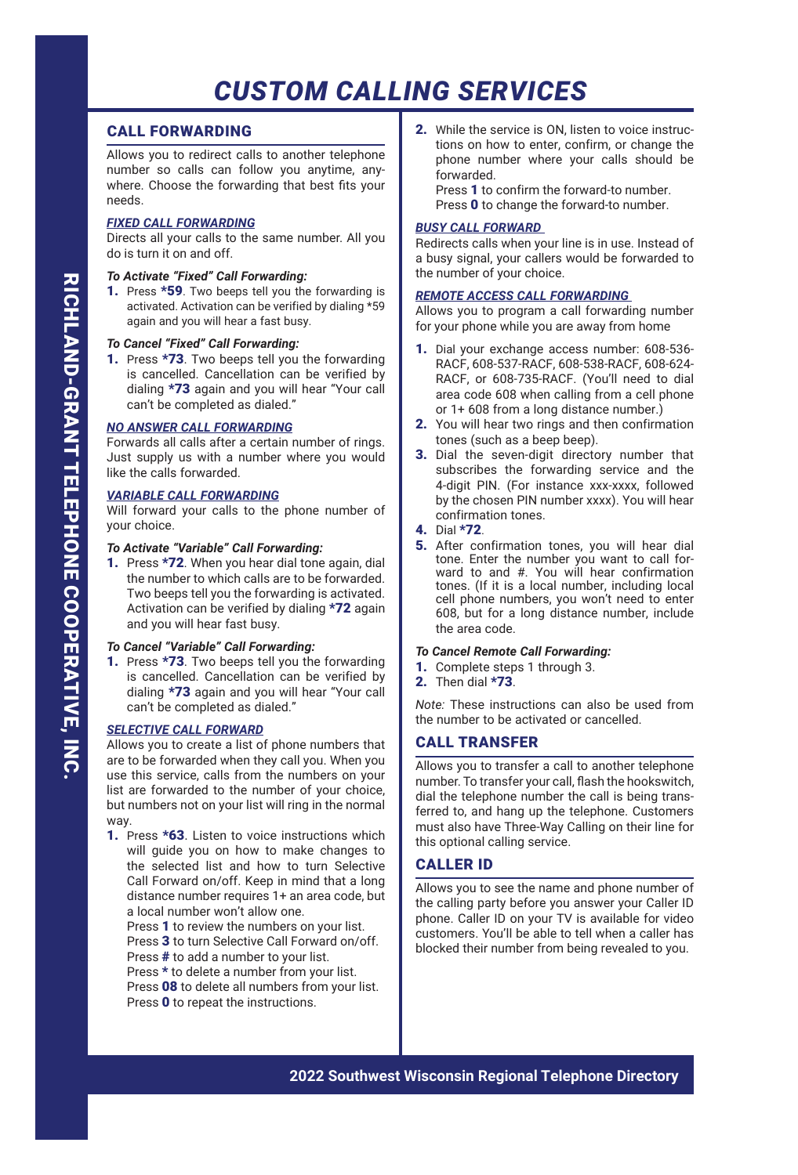# CALL FORWARDING

Allows you to redirect calls to another telephone number so calls can follow you anytime, anywhere. Choose the forwarding that best fits your needs.

# *FIXED CALL FORWARDING*

Directs all your calls to the same number. All you do is turn it on and off.

# *To Activate "Fixed" Call Forwarding:*

1. Press \*59. Two beeps tell you the forwarding is activated. Activation can be verified by dialing \*59 again and you will hear a fast busy.

## *To Cancel "Fixed" Call Forwarding:*

1. Press \*73. Two beeps tell you the forwarding is cancelled. Cancellation can be verified by dialing \*73 again and you will hear "Your call can't be completed as dialed."

# *NO ANSWER CALL FORWARDING*

Forwards all calls after a certain number of rings. Just supply us with a number where you would like the calls forwarded.

# *VARIABLE CALL FORWARDING*

Will forward your calls to the phone number of your choice.

## *To Activate "Variable" Call Forwarding:*

1. Press \*72. When you hear dial tone again, dial the number to which calls are to be forwarded. Two beeps tell you the forwarding is activated. Activation can be verified by dialing \*72 again and you will hear fast busy.

## *To Cancel "Variable" Call Forwarding:*

1. Press \*73. Two beeps tell you the forwarding is cancelled. Cancellation can be verified by dialing \*73 again and you will hear "Your call can't be completed as dialed."

# *SELECTIVE CALL FORWARD*

Allows you to create a list of phone numbers that are to be forwarded when they call you. When you use this service, calls from the numbers on your list are forwarded to the number of your choice, but numbers not on your list will ring in the normal way.

1. Press \*63. Listen to voice instructions which will quide you on how to make changes to the selected list and how to turn Selective Call Forward on/off. Keep in mind that a long distance number requires 1+ an area code, but a local number won't allow one.

Press 1 to review the numbers on your list.

- Press 3 to turn Selective Call Forward on/off.
- Press # to add a number to your list.
- Press \* to delete a number from your list.

Press 08 to delete all numbers from your list. Press 0 to repeat the instructions.

2. While the service is ON, listen to voice instructions on how to enter, confirm, or change the phone number where your calls should be forwarded.

Press 1 to confirm the forward-to number. Press 0 to change the forward-to number.

## *BUSY CALL FORWARD*

Redirects calls when your line is in use. Instead of a busy signal, your callers would be forwarded to the number of your choice.

## *REMOTE ACCESS CALL FORWARDING*

Allows you to program a call forwarding number for your phone while you are away from home

- 1. Dial your exchange access number: 608-536- RACF, 608-537-RACF, 608-538-RACF, 608-624- RACF, or 608-735-RACF. (You'll need to dial area code 608 when calling from a cell phone or 1+ 608 from a long distance number.)
- 2. You will hear two rings and then confirmation tones (such as a beep beep).
- 3. Dial the seven-digit directory number that subscribes the forwarding service and the 4-digit PIN. (For instance xxx-xxxx, followed by the chosen PIN number xxxx). You will hear confirmation tones.
- 4. Dial \*72.
- 5. After confirmation tones, you will hear dial tone. Enter the number you want to call forward to and #. You will hear confirmation tones. (If it is a local number, including local cell phone numbers, you won't need to enter 608, but for a long distance number, include the area code.

#### *To Cancel Remote Call Forwarding:*

- 1. Complete steps 1 through 3.
- 2. Then dial \*73.

*Note:* These instructions can also be used from the number to be activated or cancelled.

# CALL TRANSFER

Allows you to transfer a call to another telephone number. To transfer your call, flash the hookswitch, dial the telephone number the call is being transferred to, and hang up the telephone. Customers must also have Three-Way Calling on their line for this optional calling service.

# CALLER ID

Allows you to see the name and phone number of the calling party before you answer your Caller ID phone. Caller ID on your TV is available for video customers. You'll be able to tell when a caller has blocked their number from being revealed to you.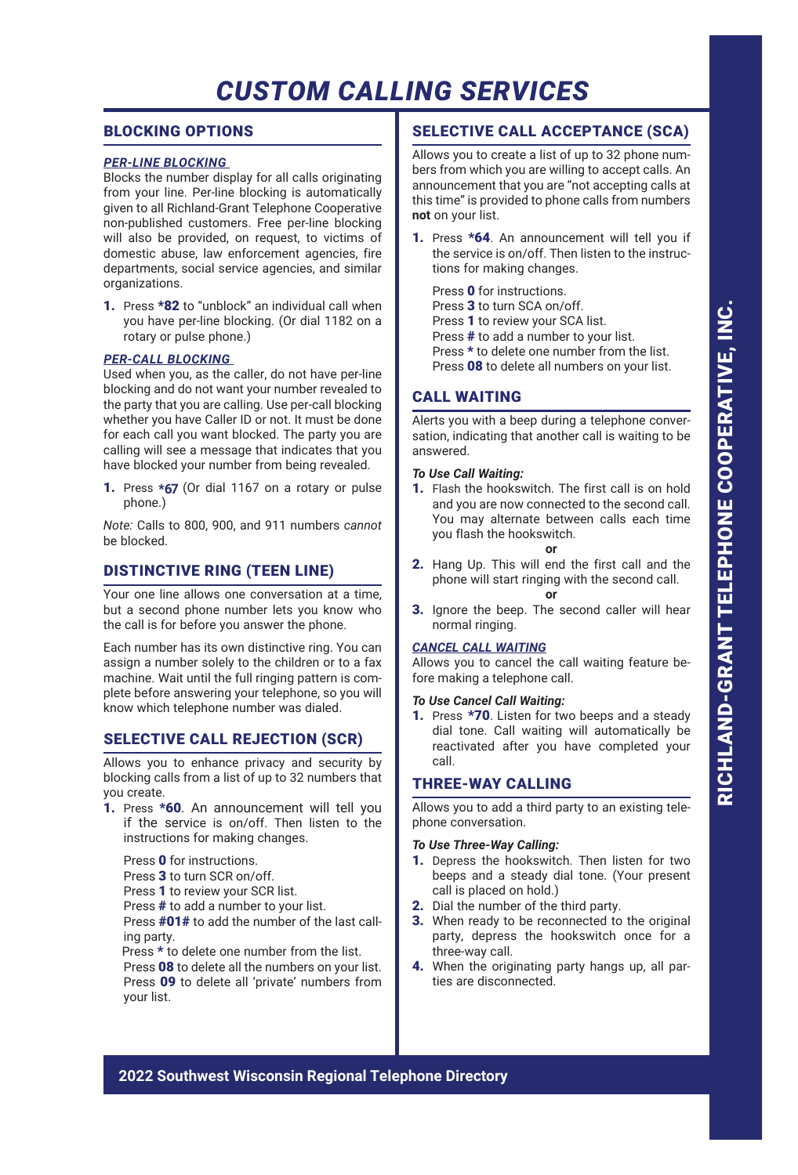# BLOCKING OPTIONS

# *PER-LINE BLOCKING*

Blocks the number display for all calls originating from your line. Per-line blocking is automatically given to all Richland-Grant Telephone Cooperative non-published customers. Free per-line blocking will also be provided, on request, to victims of domestic abuse, law enforcement agencies, fire departments, social service agencies, and similar organizations.

1. Press \*82 to "unblock" an individual call when you have per-line blocking. (Or dial 1182 on a rotary or pulse phone.)

## *PER-CALL BLOCKING*

Used when you, as the caller, do not have per-line blocking and do not want your number revealed to the party that you are calling. Use per-call blocking whether you have Caller ID or not. It must be done for each call you want blocked. The party you are calling will see a message that indicates that you have blocked your number from being revealed.

1. Press **\*67** (Or dial 1167 on a rotary or pulse phone.)

*Note:* Calls to 800, 900, and 911 numbers *cannot* be blocked.

# DISTINCTIVE RING (TEEN LINE)

Your one line allows one conversation at a time, but a second phone number lets you know who the call is for before you answer the phone.

Each number has its own distinctive ring. You can assign a number solely to the children or to a fax machine. Wait until the full ringing pattern is complete before answering your telephone, so you will know which telephone number was dialed.

# SELECTIVE CALL REJECTION (SCR)

Allows you to enhance privacy and security by blocking calls from a list of up to 32 numbers that you create.

1. Press \*60. An announcement will tell you if the service is on/off. Then listen to the instructions for making changes.

Press 0 for instructions.

Press 3 to turn SCR on/off.

- Press 1 to review your SCR list.
- Press # to add a number to your list.

Press #01# to add the number of the last calling party.

Press \* to delete one number from the list. Press 08 to delete all the numbers on your list. Press 09 to delete all 'private' numbers from your list.

# SELECTIVE CALL ACCEPTANCE (SCA)

Allows you to create a list of up to 32 phone numbers from which you are willing to accept calls. An announcement that you are "not accepting calls at this time" is provided to phone calls from numbers **not** on your list.

1. Press \*64. An announcement will tell you if the service is on/off. Then listen to the instructions for making changes.

Press 0 for instructions. Press 3 to turn SCA on/off. Press 1 to review your SCA list. Press # to add a number to your list. Press \* to delete one number from the list. Press 08 to delete all numbers on your list.

# CALL WAITING

Alerts you with a beep during a telephone conversation, indicating that another call is waiting to be answered.

# *To Use Call Waiting:*

1. Flash the hookswitch. The first call is on hold and you are now connected to the second call. You may alternate between calls each time you flash the hookswitch.

**or**

- 2. Hang Up. This will end the first call and the phone will start ringing with the second call. **or**
- 3. Ignore the beep. The second caller will hear normal ringing.

# *CANCEL CALL WAITING*

Allows you to cancel the call waiting feature before making a telephone call.

#### *To Use Cancel Call Waiting:*

1. Press \*70. Listen for two beeps and a steady dial tone. Call waiting will automatically be reactivated after you have completed your call.

# THREE-WAY CALLING

Allows you to add a third party to an existing telephone conversation.

#### *To Use Three-Way Calling:*

- 1. Depress the hookswitch. Then listen for two beeps and a steady dial tone. (Your present call is placed on hold.)
- 2. Dial the number of the third party.
- **3.** When ready to be reconnected to the original party, depress the hookswitch once for a three-way call.
- 4. When the originating party hangs up, all parties are disconnected.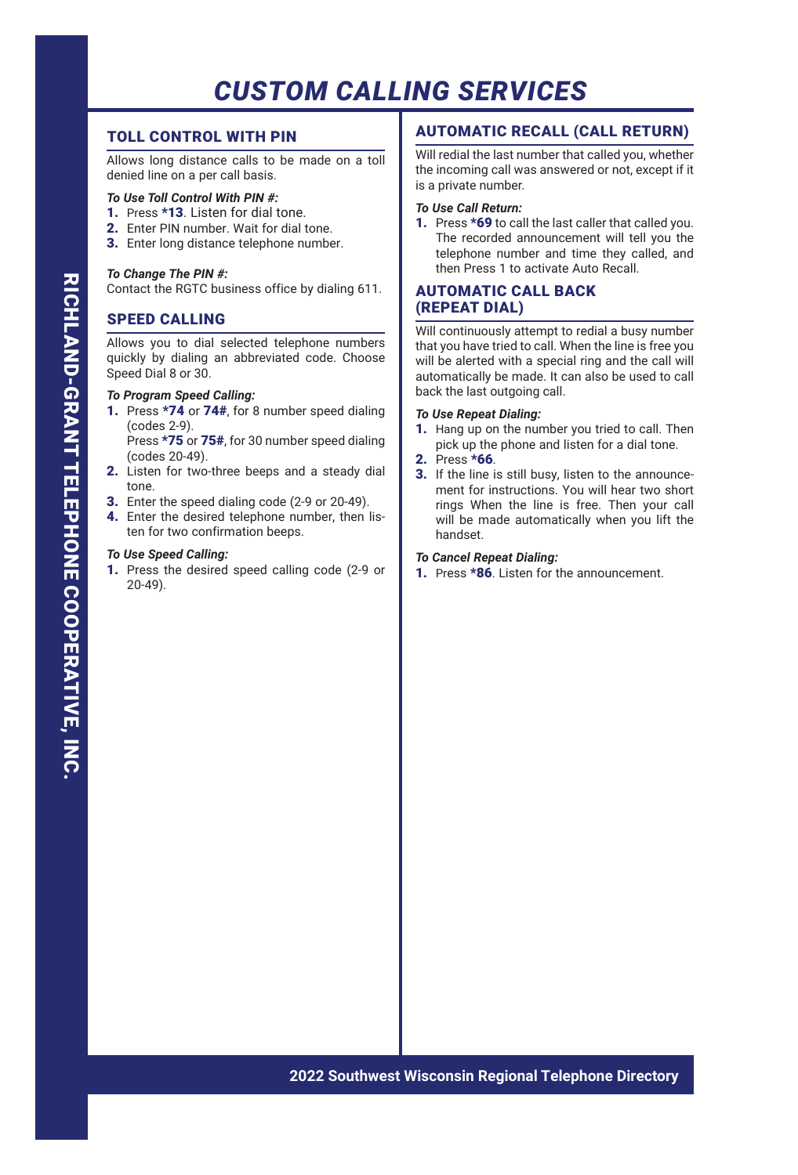# TOLL CONTROL WITH PIN

Allows long distance calls to be made on a toll denied line on a per call basis.

# *To Use Toll Control With PIN #:*

- 1. Press \*13. Listen for dial tone.
- 2. Enter PIN number. Wait for dial tone.
- 3. Enter long distance telephone number.

## *To Change The PIN #:*

Contact the RGTC business office by dialing 611.

# SPEED CALLING

Allows you to dial selected telephone numbers quickly by dialing an abbreviated code. Choose Speed Dial 8 or 30.

#### *To Program Speed Calling:*

- 1. Press \*74 or 74#, for 8 number speed dialing (codes 2-9).
	- Press \*75 or 75#, for 30 number speed dialing (codes 20-49).
- 2. Listen for two-three beeps and a steady dial tone.
- 3. Enter the speed dialing code (2-9 or 20-49).
- 4. Enter the desired telephone number, then listen for two confirmation beeps.

## *To Use Speed Calling:*

1. Press the desired speed calling code (2-9 or 20-49).

# AUTOMATIC RECALL (CALL RETURN)

Will redial the last number that called you, whether the incoming call was answered or not, except if it is a private number.

## *To Use Call Return:*

1. Press \*69 to call the last caller that called you. The recorded announcement will tell you the telephone number and time they called, and then Press 1 to activate Auto Recall.

# AUTOMATIC CALL BACK (REPEAT DIAL)

Will continuously attempt to redial a busy number that you have tried to call. When the line is free you will be alerted with a special ring and the call will automatically be made. It can also be used to call back the last outgoing call.

#### *To Use Repeat Dialing:*

- 1. Hang up on the number you tried to call. Then pick up the phone and listen for a dial tone.
- 2. Press \*66.
- **3.** If the line is still busy, listen to the announcement for instructions. You will hear two short rings When the line is free. Then your call will be made automatically when you lift the handset.

#### *To Cancel Repeat Dialing:*

1. Press \*86. Listen for the announcement.